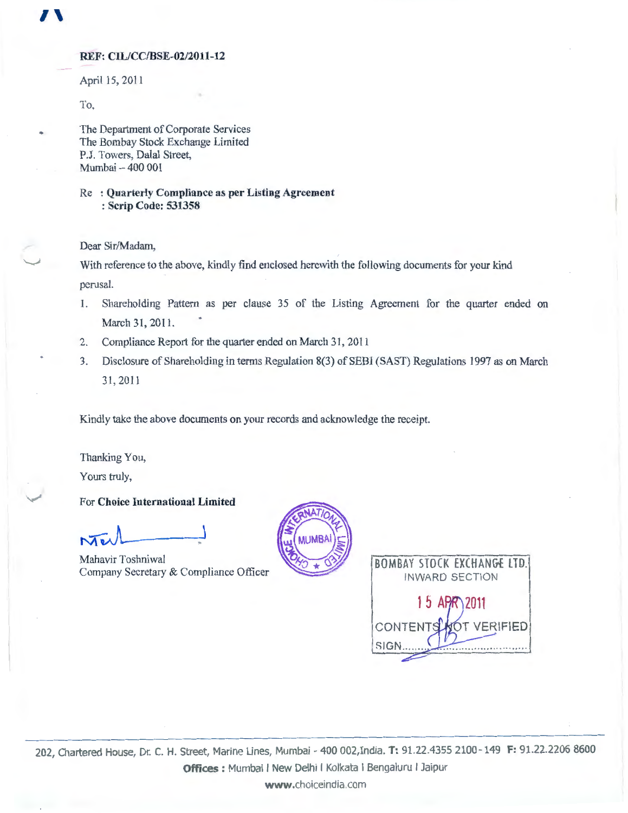### REF: CIL/CC/BSE-02/2011-12

April 15, 2011

To,

 $\mathbf{I}$ 

The Department of Corporate Services The Bombay Stock Exchange Limited P.J. Towers, Dalal Street, Mumbai- 400 001

Re : Quarterly Compliance as per Listing Agreement : Scrip Code: 531358

Dear Sir/Madam,

With reference to the above, kindly find enclosed herewith the following documents for your kind perusal.

- 1. Shareholding Pattern as per clause 35 of the Listing Agreement for the quarter ended on March 31, 2011.
- 2. Compliance Report for the quarter ended on March 31, 2011
- 3. Disclosure of Shareholding in terms Regulation 8(3) of SEBI (SAST) Regulations 1997 as on March 31, 2011

Kindly take the above documents on your records and acknowledge the receipt.

Thanking You,

Yours truly,

/

For Choice International Limited

 $\lambda$   $\lambda$ 

Mahavir Toshniwal Company Secretary & Compliance Officer



BOMBAY STOCK EXCHANGE LTD. INWARD SECTION 1 5 APR\2011 CONTENTS **VERIFIED**  $SIGH$ 

202, Chartered House, Dr. C. H. Street, Marine Lines, Mumbai- 400 002,India. **T:** 91.22.4355 2100-149 **F:** 91.22.2206 8600 **Offices** : Mumbai I New Delhi I Kolkata I Bengaluru I Jaipur

www.choiceindia.com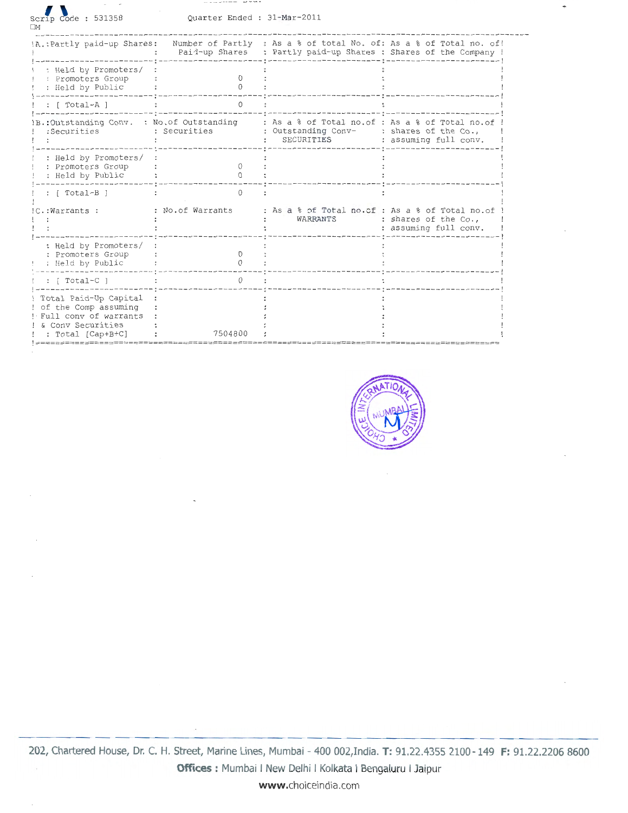| Scrip Code: 531358<br>ПМ                                                                                           | Ouarter Ended : 31-Mar-2011 |                                                                                                           |                                                                    |
|--------------------------------------------------------------------------------------------------------------------|-----------------------------|-----------------------------------------------------------------------------------------------------------|--------------------------------------------------------------------|
| !A. : Partly paid-up Shares:                                                                                       | Paid-up Shares              | : Partly paid-up Shares : Shares of the Company !                                                         | Number of Partly : As a % of total No. of: As a % of Total no. of! |
| : Held by Promoters/<br>: Promoters Group<br>: Held by Public                                                      | Ω                           |                                                                                                           |                                                                    |
| : [ Total-A ]                                                                                                      | O                           |                                                                                                           |                                                                    |
| .: Outstanding Conv. : No. of Outstanding<br>:Securities                                                           | : Securities                | : As a % of Total no.of : As a % of Total no.of<br>: Outstanding Conv- : shares of the Co.,<br>SECURITIES | : assuming full conv.                                              |
| : Held by Promoters/<br>: Promoters Group<br>: Held by Public                                                      | $\Omega$                    |                                                                                                           |                                                                    |
| : [ Total-B ]                                                                                                      | $\cap$                      |                                                                                                           |                                                                    |
| C.: Warrants :                                                                                                     | : No.of Warrants            | : As a % of Total no.of : As a % of Total no.of<br>WARRANTS                                               | : shares of the Co.,<br>: assuming full conv.                      |
| : Held by Promoters/<br>: Promoters Group<br>: Held by Public                                                      | O.                          |                                                                                                           |                                                                    |
| : $[Total-C]$                                                                                                      | $\Omega$                    |                                                                                                           |                                                                    |
| Total Paid-Up Capital<br>of the Comp assuming<br>! Full conv of warrants<br>& Conv Securities<br>: Total [Cap+B+C] | 7504800                     |                                                                                                           |                                                                    |

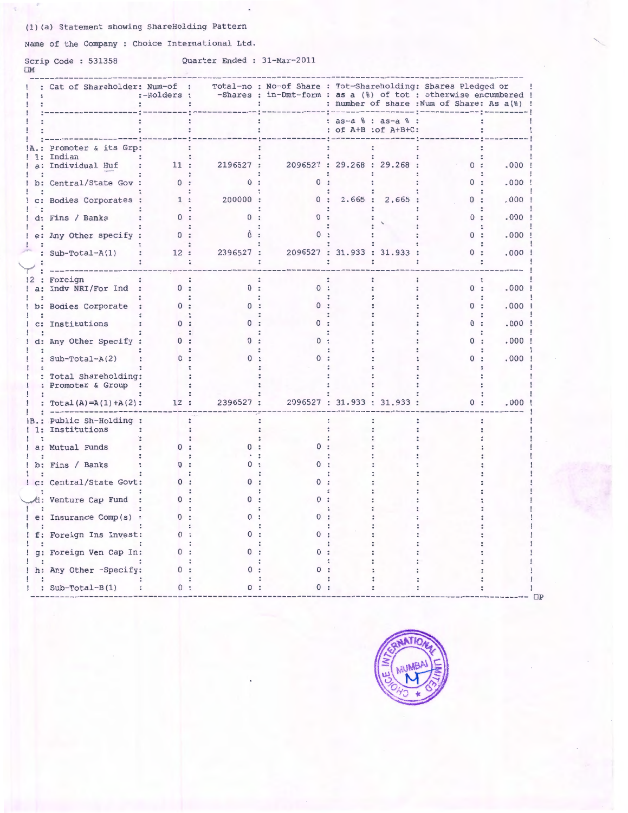### (1) (a) Statement showing ShareHolding Pattern

Name of the Company : Choice International Ltd.

# Scrip Code : 531358<br>⊓M

### Quarter Ended : 31-Mar-2011

|              | : Cat of Shareholder: Num-of :                | :-Holders : |           | Total-no : No-of Share : Tot-Shareholding: Shares Pledged or<br>-Shares : in-Dmt-form : as a (%) of tot : otherwise encumbered ! |                             |                     | : number of share : Num of Share: As a(%) ! |          |
|--------------|-----------------------------------------------|-------------|-----------|----------------------------------------------------------------------------------------------------------------------------------|-----------------------------|---------------------|---------------------------------------------|----------|
|              |                                               |             |           |                                                                                                                                  | : of A+B : of A+B+C:        | : as-a % : as-a % : |                                             |          |
|              | Promoter & its Grp:                           |             |           |                                                                                                                                  |                             |                     |                                             |          |
| $\mathbf{r}$ | Indian<br>a: Individual Huf                   | 11:         | 2196527 : |                                                                                                                                  | 2096527 : 29.268 : 29.268 : |                     | 0:                                          | $.000$ ! |
|              | b: Central/State Gov :                        |             | $\Omega$  | 0:                                                                                                                               |                             |                     | 0:                                          | .000:    |
|              | c: Bodies Corporates :                        | 1:          | 200000:   | 0:                                                                                                                               |                             | 2.665 : 2.665 :     | 0:                                          | $.000$ ! |
|              | d: Fins / Banks                               | 0:          |           |                                                                                                                                  |                             |                     | 0:                                          | .000     |
|              | e: Any Other specify :                        | 0:          |           |                                                                                                                                  |                             |                     | 0:                                          | .000     |
|              |                                               |             | 2396527 : |                                                                                                                                  | 2096527 : 31.933 : 31.933 : |                     | 0:                                          | .000     |
|              | : $Sub-Total-A(1)$                            | 12:         |           |                                                                                                                                  |                             |                     |                                             |          |
|              | : Foreign                                     |             |           |                                                                                                                                  |                             |                     |                                             |          |
|              | a: Indv NRI/For Ind :                         | 0:          | 0:        | 0:                                                                                                                               |                             |                     | 0:                                          | .000     |
|              | b: Bodies Corporate                           | 0:          |           | $\Omega$                                                                                                                         |                             |                     | 0:                                          | .000     |
|              | c: Institutions                               |             |           |                                                                                                                                  |                             |                     | 0:                                          | .000     |
|              | d: Any Other Specify :                        |             |           |                                                                                                                                  |                             |                     | $\Omega$ :                                  | .000     |
|              | : Sub-Total-A(2)                              | $\Omega$    |           |                                                                                                                                  |                             |                     | 0:                                          | .000     |
|              | : Total Shareholding:<br>: Promoter & Group : |             |           |                                                                                                                                  |                             |                     |                                             |          |
|              | : Total(A)=A(1)+A(2):                         | 12 :        | 2396527 : |                                                                                                                                  | 2096527 : 31.933 : 31.933 : |                     | 0:                                          | .000     |
| 1:           | Public Sh-Holding :<br>Institutions           |             |           |                                                                                                                                  |                             |                     |                                             |          |
|              | a: Mutual Funds                               | $^{\circ}$  |           |                                                                                                                                  |                             |                     |                                             |          |
|              | b: Fins / Banks                               |             |           |                                                                                                                                  |                             |                     |                                             |          |
|              | ! c: Central/State Govt:                      | 0:          |           |                                                                                                                                  |                             |                     |                                             |          |
|              | d: Venture Cap Fund                           | $\Omega$    |           | $\Omega$                                                                                                                         |                             |                     |                                             |          |
|              | e: Insurance Comp(s) :                        | 0:          |           | 0                                                                                                                                |                             |                     |                                             |          |
|              | f: Foreign Ins Invest:                        |             |           |                                                                                                                                  |                             |                     |                                             |          |
|              | g: Foreign Ven Cap In:                        | 0.          |           |                                                                                                                                  |                             |                     |                                             |          |
|              |                                               |             |           |                                                                                                                                  |                             |                     |                                             |          |
|              | ! h: Any Other -Specify:                      | 0:          |           |                                                                                                                                  |                             |                     |                                             |          |
|              | : $Sub-Total-B(1)$                            | 0:          |           |                                                                                                                                  |                             |                     |                                             |          |

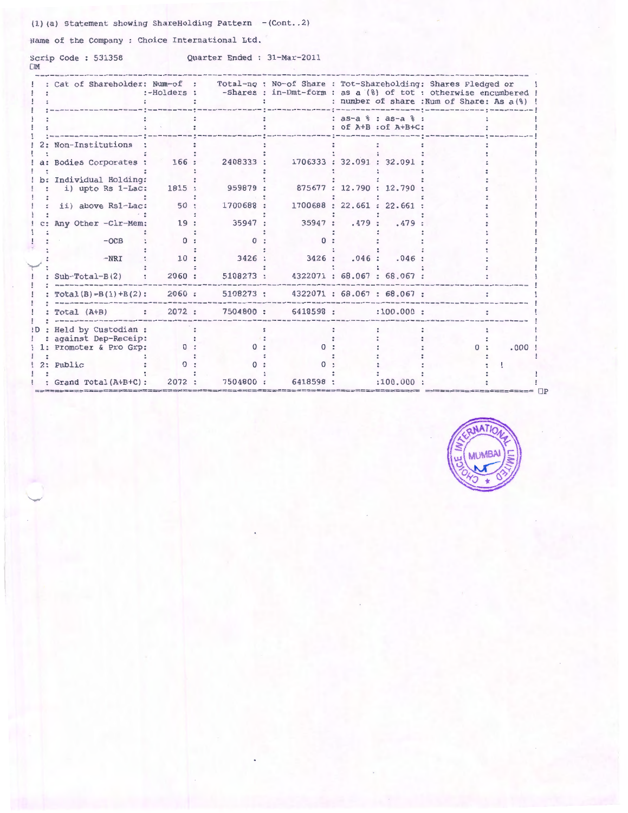(1) (a) Statement showing ShareHolding Pattern  $-(Cont..2)$ 

Name of the Company : Choice International Ltd.

Scrip Code: 531358

Quarter Ended : 31-Mar-2011

|      | Cat of Shareholder: Num-of :                | :-Holders :  |           | Total-no : No-of Share : Tot-Shareholding: Shares Pledged or<br>-Shares : in-Dmt-form : as a (%) of tot : otherwise encumbered ! |       |                                             | : number of share : Num of Share: As a(%) |            |      |
|------|---------------------------------------------|--------------|-----------|----------------------------------------------------------------------------------------------------------------------------------|-------|---------------------------------------------|-------------------------------------------|------------|------|
|      |                                             |              |           |                                                                                                                                  |       | : as-a % : as-a % :<br>: of A+B : of A+B+C: |                                           |            |      |
|      | 2: Non-Institutions                         |              |           |                                                                                                                                  |       |                                             |                                           |            |      |
|      | a: Bodies Corporates :                      | 166 :        | 2408333:  |                                                                                                                                  |       | 1706333 : 32.091 : 32.091                   |                                           |            |      |
|      | b: Individual Holding:<br>i) upto Rs 1-Lac: | 1815 :       | 959879 :  |                                                                                                                                  |       | 875677: 12.790: 12.790                      |                                           |            |      |
|      | ii) above Rs1-Lac:                          | 50:          | 1700688:  |                                                                                                                                  |       | 1700688: 22.661: 22.661:                    |                                           |            |      |
|      | Any Other -Clr-Mem:                         | 19:          | 35947:    | 35947:                                                                                                                           | .479: | .479:                                       |                                           |            |      |
|      | $-OCB$                                      | $\Omega$     |           |                                                                                                                                  |       |                                             |                                           |            |      |
|      | $-NRI$                                      | 10:          | 3426:     | 3426:                                                                                                                            | .046: | .046                                        |                                           |            |      |
|      | $Sub-Total-B(2)$                            | 2060:        | 5108273 : |                                                                                                                                  |       | 4322071: 68.067: 68.067:                    |                                           |            |      |
|      | $Total(B)=B(1)+B(2)$ :                      | 2060:        | 5108273 : |                                                                                                                                  |       | 4322071: 68.067: 68.067:                    |                                           |            |      |
|      | Total (A+B)<br>$\ddot{ }$ .                 | 2072:        | 7504800:  | 6418598 :                                                                                                                        |       | :100.000:                                   |                                           |            |      |
| !D : | Held by Custodian :                         |              |           |                                                                                                                                  |       |                                             |                                           |            |      |
|      | against Dep-Receip:                         |              |           |                                                                                                                                  |       |                                             |                                           |            |      |
|      | 1: Promoter & Pro Grp:                      | $\mathbf{0}$ |           |                                                                                                                                  |       |                                             |                                           | $^{\circ}$ | .000 |
|      | 2: Public                                   |              |           |                                                                                                                                  |       |                                             |                                           |            |      |
|      |                                             |              |           |                                                                                                                                  |       |                                             |                                           |            |      |
|      | Grand Total(A+B+C):                         | 2072 :       | 7504800:  | 6418598                                                                                                                          |       | :100.000                                    |                                           |            |      |

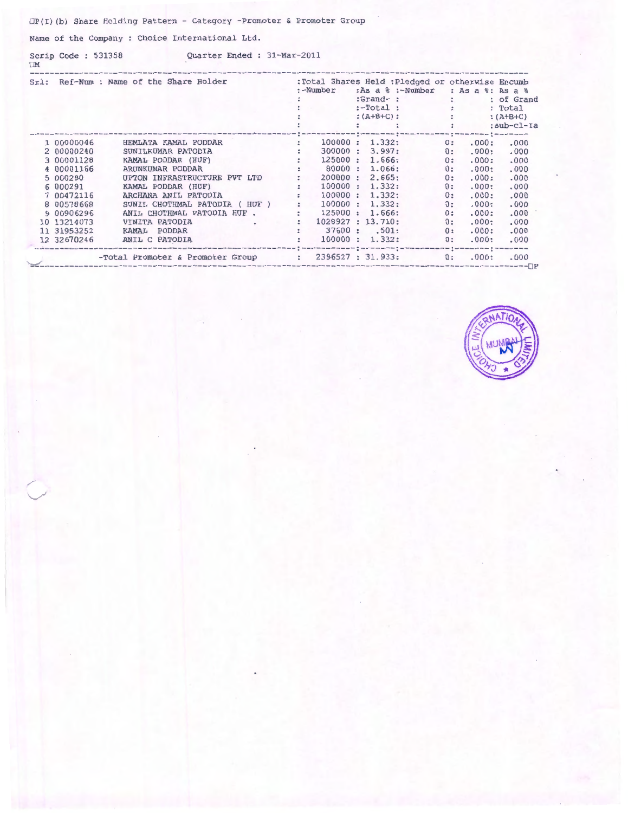$\Box P$ (I)(b) Share Holding Pattern - Category -Promoter & Promoter Group

Name of the Company : Choice International Ltd.

 $\Box M$ 

Scrip Code: 531358 Quarter Ended: 31-Mar-2011

|             | Srl: Ref-Num : Name of the Share Holder                            | $:-Number$           |         | :Total Shares Held : Pledged or otherwise Encumb<br>:As a % :-Number : As a %: As a %<br>$: Grand-$ : $:$  |                                               |       | : of Grand |
|-------------|--------------------------------------------------------------------|----------------------|---------|------------------------------------------------------------------------------------------------------------|-----------------------------------------------|-------|------------|
|             |                                                                    |                      |         |                                                                                                            |                                               |       | : Total    |
|             |                                                                    |                      |         | $:-Total:$<br>: $(A+B+C):$<br>:                                                                            |                                               |       | $:(A+B+C)$ |
|             |                                                                    |                      |         |                                                                                                            | <b>Committee Committee</b>                    |       | :sub-cl-Ia |
|             |                                                                    |                      |         | <u> 1 – – – – – – † – – – – – – – – – – – † – – – – – – – – † – – – – – – – † – – – – – – – – – – – – </u> |                                               |       |            |
| 1 00000046  | HEMLATA KAMAL PODDAR                                               | $\ddot{\phantom{a}}$ | 100000: | 1.332:                                                                                                     | 0:                                            | .000: | .000       |
| 2 00000240  | SUNILKUMAR PATODIA                                                 |                      | 300000: | 3.997:                                                                                                     | 0:                                            | .000: | .000       |
| 3 00001128  | KAMAL PODDAR (HUF)                                                 |                      | 125000: | 1.666:                                                                                                     | 0:                                            | .000: | .000       |
| 4 00001166  | ARUNKUMAR PODDAR                                                   |                      | 80000:  | 1.066:                                                                                                     | 0:                                            | .000: | .000       |
| 5 000290    | UPTON INFRASTRUCTURE PVT LTD                                       |                      | 200000: | 2.665:                                                                                                     | 0:                                            | .000: | .000       |
| 6 000291    | KAMAL PODDAR (HUF) :<br>ARCHANA ANIL PATODIA : :                   |                      | 100000: | 1.332:                                                                                                     | 0:                                            | .000: | .000       |
| 7 00472116  |                                                                    |                      | 100000: | 1.332:                                                                                                     | 0:                                            | .000: | .000       |
| 8 00578668  | SUNIL CHOTHMAL PATODIA (HUF)                                       | $\mathbb{R}^n$       | 100000: | 1.332:                                                                                                     | 0:                                            | .000: | .000       |
| 9 00906296  | ANIL CHOTHMAL PATODIA HUF.                                         |                      | 125000: | 1.666:                                                                                                     | 0:                                            | .000: | .000       |
| 10 13214073 | VINITA PATODIA<br>$\sim$ $\sim$ $\sim$ $\sim$ $\sim$ $\sim$ $\sim$ |                      |         | 1028927 : 13.710:                                                                                          | 0:                                            | .000: | .000       |
| 11 31953252 | PODDAR<br>KAMAL                                                    |                      |         | 37600 : .501:                                                                                              | 0:                                            | .000: | .000       |
| 12 32670246 | ANIL C PATODIA                                                     |                      |         | 100000 : 1.332:                                                                                            | $\mathbf{0}$ :                                | .000: | .000       |
|             | -Total Promoter & Promoter Group : 2396527 : 31.933:               |                      |         |                                                                                                            | 따져 를 따져 마이저 아이 피어 아이가 를 사이 피아 어머니는 것 같아<br>0: | .000: | .000       |

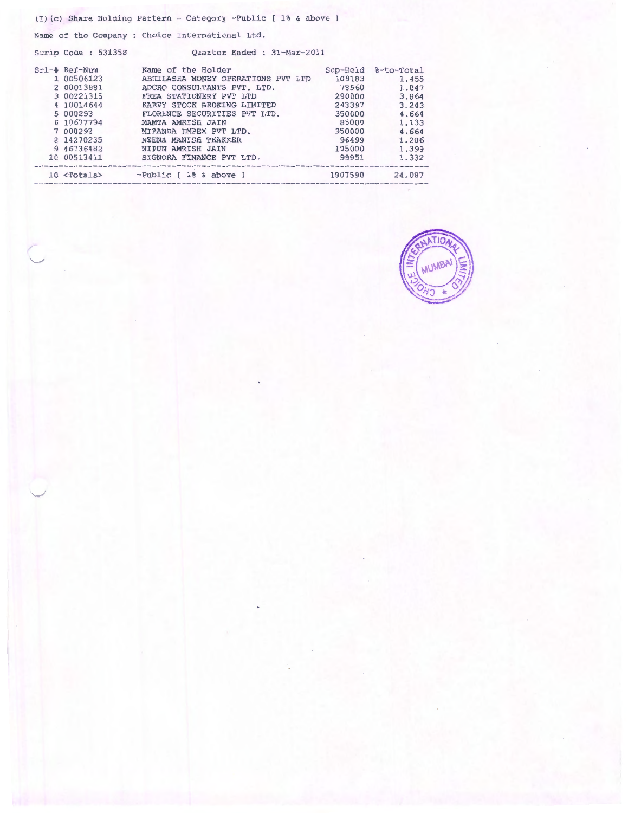|                    | $(I)(c)$ Share Holding Pattern - Category -Public $[18, 6, 8]$ above $]$ |         |                     |
|--------------------|--------------------------------------------------------------------------|---------|---------------------|
|                    | Name of the Company : Choice International Ltd.                          |         |                     |
| Scrip Code: 531358 | Ouarter Ended: 31-Mar-2011                                               |         |                     |
| $Srl-\#$ Ref-Num   | Name of the Holder                                                       |         | Scp-Held %-to-Total |
| 1 00506123         | ABHILASHA MONEY OPERATIONS PVT LTD                                       | 109183  | 1.455               |
| 2 00013881         | ADCHO CONSULTANTS PVT. LTD.                                              | 78560   | 1.047               |
| 3 00221315         | FREA STATIONERY PVT LTD<br>290000                                        |         | 3.864               |
| 4 10014644         | KARVY STOCK BROKING LIMITED                                              | 243397  | 3.243               |
| 5 000293           | FLORENCE SECURITIES PVT LTD.                                             | 350000  | 4.664               |
| 6 10677794         | MAMTA AMRISH JAIN                                                        | 85009   | 1.133               |
| 7 000292           | MIRANDA IMPEX PVT LTD.                                                   | 350000  | 4.664               |
| 8 14270235         | NEENA MANISH THAKKER                                                     | 96499   | 1.286               |
| 9 46736482         | NIPUN AMRISH JAIN                                                        | 105000  | 1.399               |
| 10 00513411        | SIGNORA FINANCE PVT LTD.                                                 | 99951   | 1.332               |
|                    | 10 <totals> -Public [ 1% &amp; above ]</totals>                          | 1807590 | 24.087              |

f  $\smile$ 

 $\overline{\phantom{0}}$ 

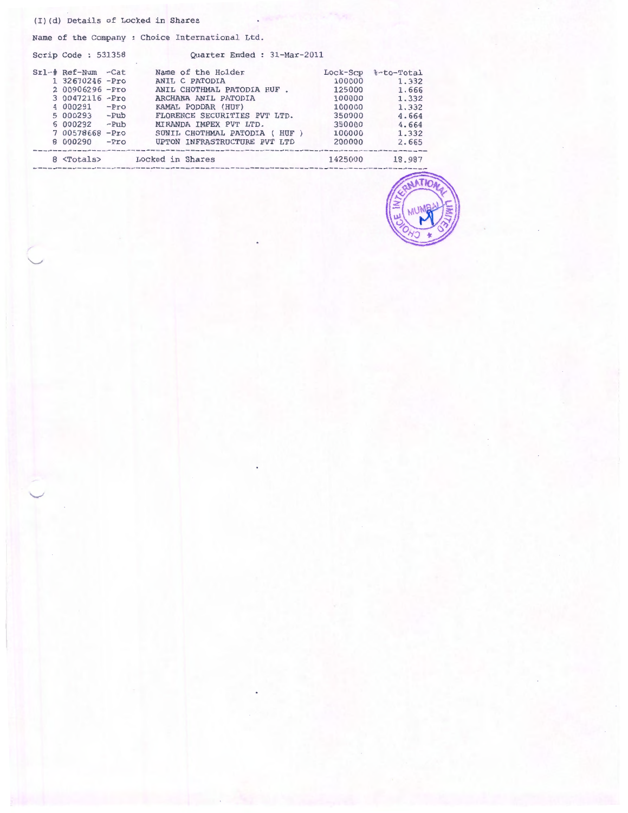#### (I) (d) Details of Locked in Shares

 $\overline{\phantom{a}}$ 

 $\overline{\phantom{0}}$ 

Name of the Company : Choice International Ltd.

Scrip Code : 531358 Quarter Ended : 31-Mar-2011 Srl-# Ref-Num -Cat Name of the Holder Lock-Scp %-to-Total 1 32670246 -Pro ANIL C PATODIA 100000 1. 332 2 00906296 -Pro ANIL CHOTHMAL PATODIA HUF . 125000 1. 666 3 00472116 -Pro ARCHANA ANIL PATODIA 100000 1. 332 4 000291 -Pro KAMAL PODDAR (HUF) 100000 1. 332 5 000293 -Pub FLORENCE SECURITIES PVT LTD. 350000 4.664 6 000292 -Pub MIRANDA IMPEX PVT LTD. 350000 4.664 7 00578668 -Pro SUNIL CHOTHMAL PATODIA ( HUF ) 100000 1.332 8 000290 -Pro UPTON INFRASTRUCTURE PVT LTD 200000 2.665 8 <Totals> Locked in Shares 1425000 18.987 ----------

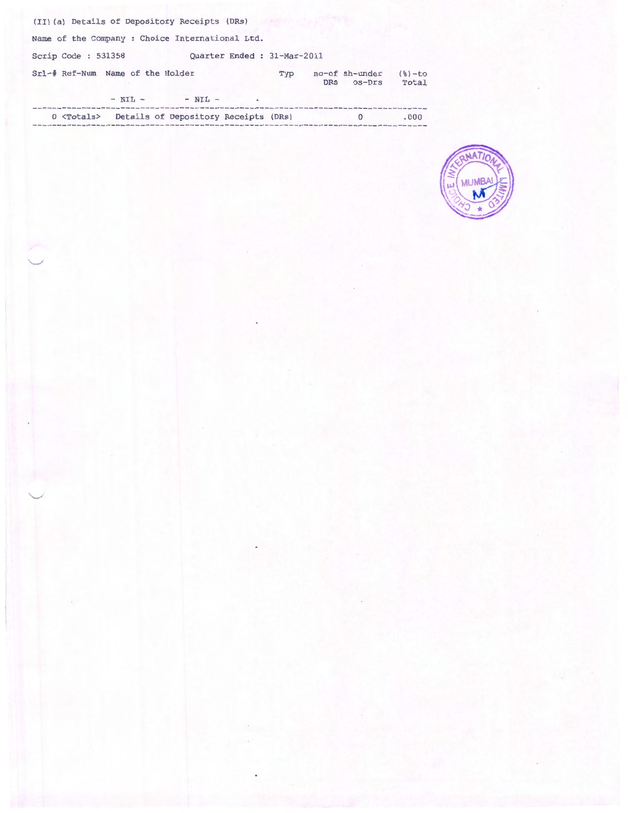| (II) (a) Details of Depository Receipts (DRs)              |     |     |                          |                   |
|------------------------------------------------------------|-----|-----|--------------------------|-------------------|
| Name of the Company : Choice International Ltd.            |     |     |                          |                   |
| Quarter Ended : 31-Mar-2011<br>Scrip Code: 531358          |     |     |                          |                   |
| Srl-# Ref-Num Name of the Holder                           | Typ | DRs | no-of sh-under<br>os-Drs | $(8)-to$<br>Total |
| $- NII -$<br>$- NIL -$<br>٠                                |     |     |                          |                   |
| Details of Depository Receipts (DRs)<br>$0 \lt$ Totals $>$ |     |     | $\Omega$                 | .000              |

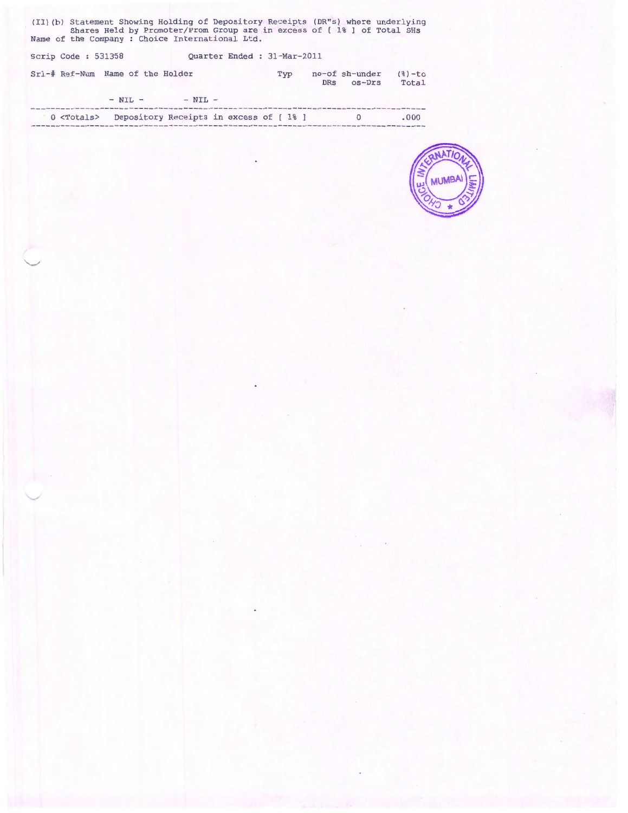(II)(b) Statement Showing Holding of Depository Receipts (DR"s) where underlying Shares Held by Promoter/Prom Group are in excess of [1% ] of Total SHs Name of the Company : Choice International Ltd.

| Scrip Code: 531358 |                                  |           | Quarter Ended : 31-Mar-2011 |     |                          |                   |
|--------------------|----------------------------------|-----------|-----------------------------|-----|--------------------------|-------------------|
|                    | Srl-# Ref-Num Name of the Holder |           | Typ                         | DRS | no-of sh-under<br>os-Drs | $(8)-to$<br>Total |
|                    | $- NIL -$                        | $- NIL -$ |                             |     |                          |                   |

| $0$ $<$ Totals> | Depository Receipts in excess of [1%] |  |  |  | .000 |
|-----------------|---------------------------------------|--|--|--|------|
|                 |                                       |  |  |  |      |

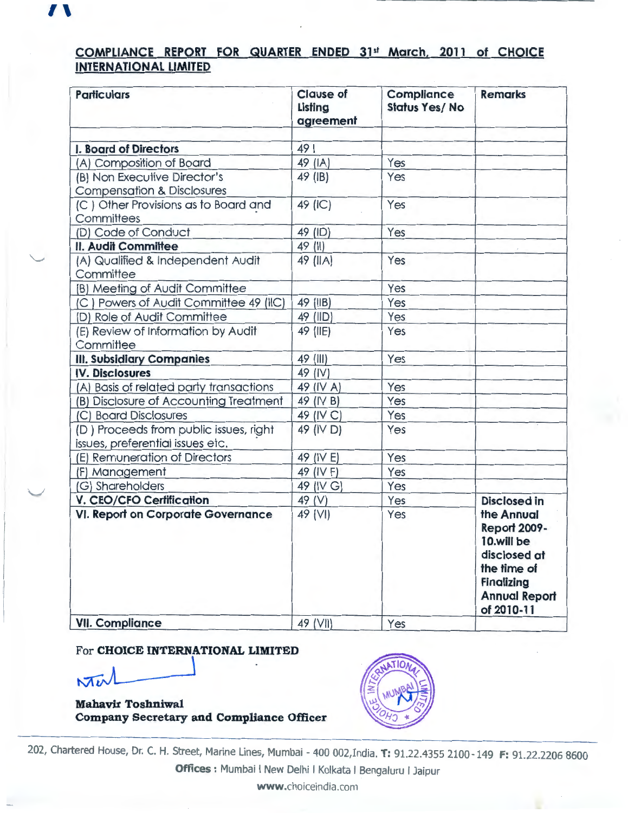# **COMPLIANCE REPORT FOR QUARTER ENDED 31st March, 2011 of CHOICE INTERNATIONAL LIMITED**

| <b>Particulars</b>                                                         | <b>Clause of</b><br>Listing<br>agreement | <b>Compliance</b><br><b>Status Yes/No</b> | <b>Remarks</b>                                                                                                                            |
|----------------------------------------------------------------------------|------------------------------------------|-------------------------------------------|-------------------------------------------------------------------------------------------------------------------------------------------|
| I. Board of Directors                                                      | 49                                       |                                           |                                                                                                                                           |
| (A) Composition of Board                                                   | 49 (IA)                                  | Yes                                       |                                                                                                                                           |
| (B) Non Executive Director's<br><b>Compensation &amp; Disclosures</b>      | 49 (IB)                                  | Yes                                       |                                                                                                                                           |
| (C) Other Provisions as to Board and<br>Committees                         | 49 (IC)                                  | Yes                                       |                                                                                                                                           |
| (D) Code of Conduct                                                        | 49 (ID)                                  | Yes                                       |                                                                                                                                           |
| II. Audit Committee                                                        | 49 (II)                                  |                                           |                                                                                                                                           |
| (A) Qualified & Independent Audit<br>Committee                             | 49 (IIA)                                 | Yes                                       |                                                                                                                                           |
| (B) Meeting of Audit Committee                                             |                                          | Yes                                       |                                                                                                                                           |
| (C) Powers of Audit Committee 49 (IIC)                                     | 49 (IIB)                                 | Yes                                       |                                                                                                                                           |
| (D) Role of Audit Committee                                                | 49 (IID)                                 | Yes                                       |                                                                                                                                           |
| (E) Review of Information by Audit<br>Committee                            | 49 (IIE)                                 | Yes                                       |                                                                                                                                           |
| <b>III. Subsidiary Companies</b>                                           | 49 (III)                                 | Yes                                       |                                                                                                                                           |
| <b>IV. Disclosures</b>                                                     | 49 (IV)                                  |                                           |                                                                                                                                           |
| (A) Basis of related party transactions                                    | 49 (IV A)                                | Yes                                       |                                                                                                                                           |
| (B) Disclosure of Accounting Treatment                                     | 49 (IV B)                                | Yes                                       |                                                                                                                                           |
| (C) Board Disclosures                                                      | 49 (IV C)                                | Yes                                       |                                                                                                                                           |
| (D) Proceeds from public issues, right<br>issues, preferential issues etc. | 49 (IV D)                                | Yes                                       |                                                                                                                                           |
| (E) Remuneration of Directors                                              | 49 (IV E)                                | Yes                                       |                                                                                                                                           |
| (F) Management                                                             | 49 (IV F)                                | Yes                                       |                                                                                                                                           |
| (G) Shareholders                                                           | 49 (IV G)                                | Yes                                       |                                                                                                                                           |
| <b>V. CEO/CFO Certification</b>                                            | 49 (V)                                   | Yes                                       | <b>Disclosed in</b>                                                                                                                       |
| VI. Report on Corporate Governance                                         | 49 (VI)                                  | Yes                                       | the Annual<br><b>Report 2009-</b><br>10.will be<br>disclosed at<br>the time of<br><b>Finalizing</b><br><b>Annual Report</b><br>of 2010-11 |
| <b>VII. Compliance</b>                                                     | 49 (VII)                                 | Yes                                       |                                                                                                                                           |

### For **CHOICE INTERNATIONAL LIMITED**

 $M_{\nu}$ 

 $\mathbf{1}$ 

"-'

 $\overline{\phantom{0}}$ 

**Mahavir Toshniwal Company Secretary and Compliance Officer** 



202, Chartered House, Dr. C. H. Street, Marine Lines, Mumbai- 400 002,India. **T:** 91.22.4355 2100-149 **F:** 91.22.2206 8600 **Offices** : Mumbai I New Delhi I Kolkata I Bengaluru I Jaipur

**www** .choiceindia .com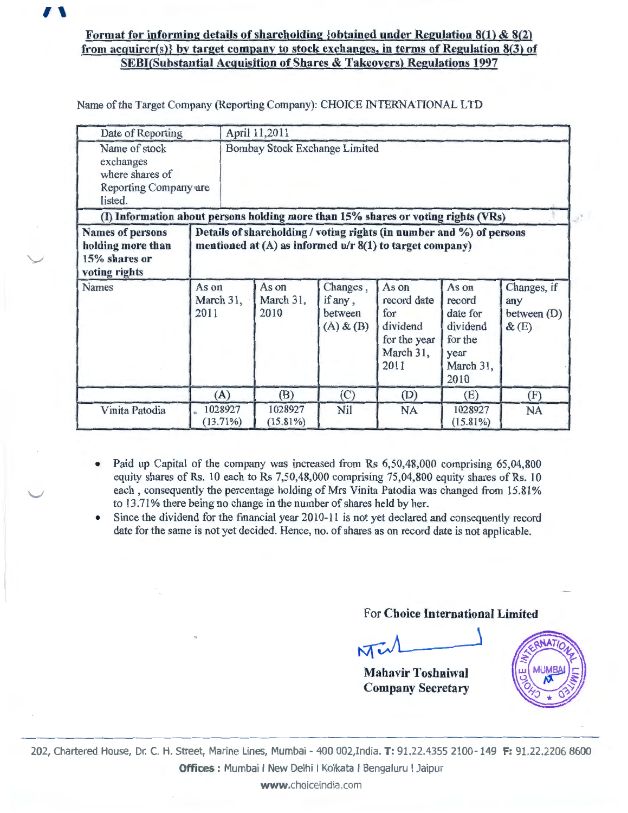

# Format for informing details of shareholding {obtained under Regulation  $8(1)$  &  $8(2)$ from acquirer(s)} by target company to stock exchanges, in terms of Regulation 8(3) of **SEBI(Substantial Acquisition of Shares & Takeovers) Regulations 1997**

Name of the Target Company (Reporting Company): CHOICE INTERNATIONAL LTD

| Date of Reporting                                                                                                                                                                                                      |                            |                               | April 11,2011              |                                                 |                                                                              |                                                                                 |                                            |  |
|------------------------------------------------------------------------------------------------------------------------------------------------------------------------------------------------------------------------|----------------------------|-------------------------------|----------------------------|-------------------------------------------------|------------------------------------------------------------------------------|---------------------------------------------------------------------------------|--------------------------------------------|--|
| Name of stock<br>exchanges<br>where shares of<br>Reporting Company are<br>listed.                                                                                                                                      |                            | Bombay Stock Exchange Limited |                            |                                                 |                                                                              |                                                                                 |                                            |  |
| (I) Information about persons holding more than 15% shares or voting rights (VRs)                                                                                                                                      |                            |                               |                            |                                                 |                                                                              |                                                                                 |                                            |  |
| Details of shareholding / voting rights (in number and %) of persons<br><b>Names of persons</b><br>mentioned at $(A)$ as informed $u/r$ 8(1) to target company)<br>holding more than<br>15% shares or<br>voting rights |                            |                               |                            |                                                 |                                                                              |                                                                                 |                                            |  |
| <b>Names</b>                                                                                                                                                                                                           | As on<br>March 31,<br>2011 |                               | As on<br>March 31,<br>2010 | Changes,<br>if any,<br>between<br>$(A)$ & $(B)$ | As on<br>record date<br>for<br>dividend<br>for the year<br>March 31,<br>2011 | As on<br>record<br>date for<br>dividend<br>for the<br>year<br>March 31,<br>2010 | Changes, if<br>any<br>between (D)<br>&E(E) |  |
|                                                                                                                                                                                                                        | (A)                        |                               | (B)                        | (C)                                             | (D)                                                                          | (E)                                                                             | (F)                                        |  |
| Vinita Patodia                                                                                                                                                                                                         | 1028927<br>(13.71%)        |                               | 1028927<br>$(15.81\%)$     | Nil                                             | <b>NA</b>                                                                    | 1028927<br>$(15.81\%)$                                                          | <b>NA</b>                                  |  |

- Paid up Capital of the company was increased from Rs 6,50,48,000 comprising 65,04,800  $\bullet$ equity shares of Rs. 10 each to Rs 7,50,48,000 comprising 75,04,800 equity shares of Rs. 10 each, consequently the percentage holding of Mrs Vinita Patodia was changed from 15.81% to 13.71% there being no change in the number of shares held by her.
- Since the dividend for the financial year 2010-11 is not yet declared and consequently record  $\bullet$ date for the same is not yet decided. Hence, no. of shares as on record date is not applicable.

## For Choice International Limited

Me

**Mahavir Toshniwal Company Secretary** 



202, Chartered House, Dr. C. H. Street, Marine Lines, Mumbai - 400 002, India. T: 91.22.4355 2100 - 149 F: 91.22.2206 8600 **Offices :** Mumbai I New Delhi I Kolkata I Bengaluru I Jaipur

www.choiceindia.com